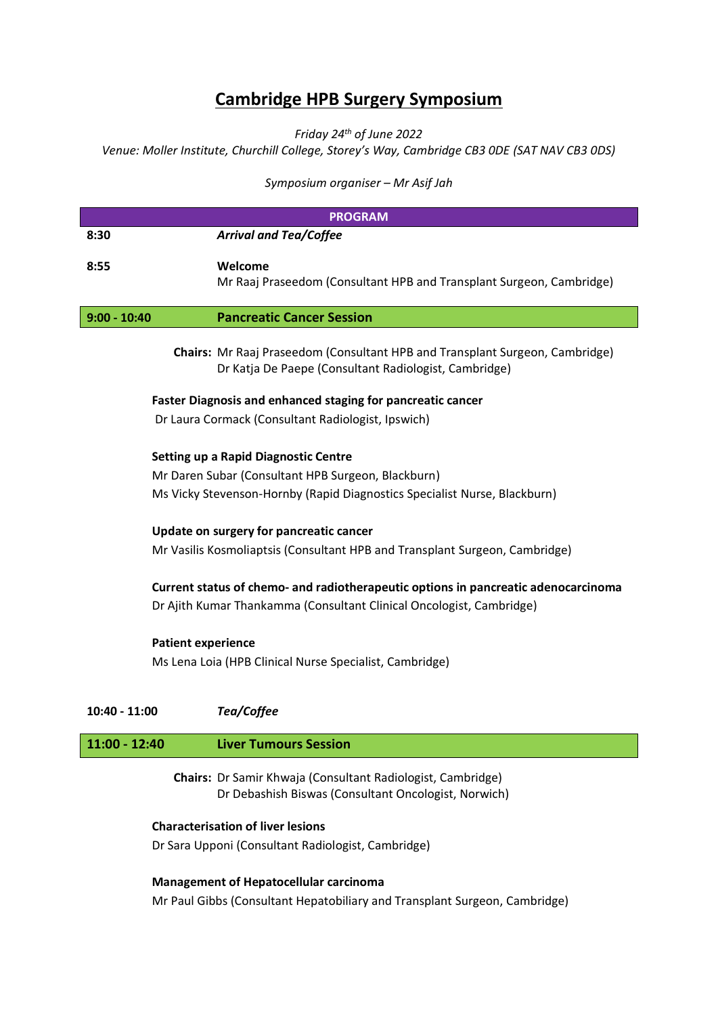# **Cambridge HPB Surgery Symposium**

*Friday 24th of June 2022*

*Venue: Moller Institute, Churchill College, Storey's Way, Cambridge CB3 0DE (SAT NAV CB3 0DS)*

*Symposium organiser – Mr Asif Jah*

|                |                                                             | <b>PROGRAM</b>                                                                                                                                                                 |  |
|----------------|-------------------------------------------------------------|--------------------------------------------------------------------------------------------------------------------------------------------------------------------------------|--|
| 8:30           |                                                             | <b>Arrival and Tea/Coffee</b>                                                                                                                                                  |  |
| 8:55           |                                                             | Welcome<br>Mr Raaj Praseedom (Consultant HPB and Transplant Surgeon, Cambridge)                                                                                                |  |
| $9:00 - 10:40$ |                                                             | <b>Pancreatic Cancer Session</b>                                                                                                                                               |  |
|                |                                                             | Chairs: Mr Raaj Praseedom (Consultant HPB and Transplant Surgeon, Cambridge)<br>Dr Katja De Paepe (Consultant Radiologist, Cambridge)                                          |  |
|                | Faster Diagnosis and enhanced staging for pancreatic cancer |                                                                                                                                                                                |  |
|                |                                                             | Dr Laura Cormack (Consultant Radiologist, Ipswich)                                                                                                                             |  |
|                |                                                             | <b>Setting up a Rapid Diagnostic Centre</b><br>Mr Daren Subar (Consultant HPB Surgeon, Blackburn)<br>Ms Vicky Stevenson-Hornby (Rapid Diagnostics Specialist Nurse, Blackburn) |  |
|                | Update on surgery for pancreatic cancer                     |                                                                                                                                                                                |  |
|                |                                                             | Mr Vasilis Kosmoliaptsis (Consultant HPB and Transplant Surgeon, Cambridge)                                                                                                    |  |
|                |                                                             | Current status of chemo- and radiotherapeutic options in pancreatic adenocarcinoma<br>Dr Ajith Kumar Thankamma (Consultant Clinical Oncologist, Cambridge)                     |  |
|                |                                                             | <b>Patient experience</b><br>Ms Lena Loia (HPB Clinical Nurse Specialist, Cambridge)                                                                                           |  |
|                | 10:40 - 11:00                                               | Tea/Coffee                                                                                                                                                                     |  |
|                | $11:00 - 12:40$                                             | <b>Liver Tumours Session</b>                                                                                                                                                   |  |
|                |                                                             |                                                                                                                                                                                |  |

**Chairs:** Dr Samir Khwaja (Consultant Radiologist, Cambridge) Dr Debashish Biswas (Consultant Oncologist, Norwich)

### **Characterisation of liver lesions**

Dr Sara Upponi (Consultant Radiologist, Cambridge)

# **Management of Hepatocellular carcinoma**

Mr Paul Gibbs (Consultant Hepatobiliary and Transplant Surgeon, Cambridge)